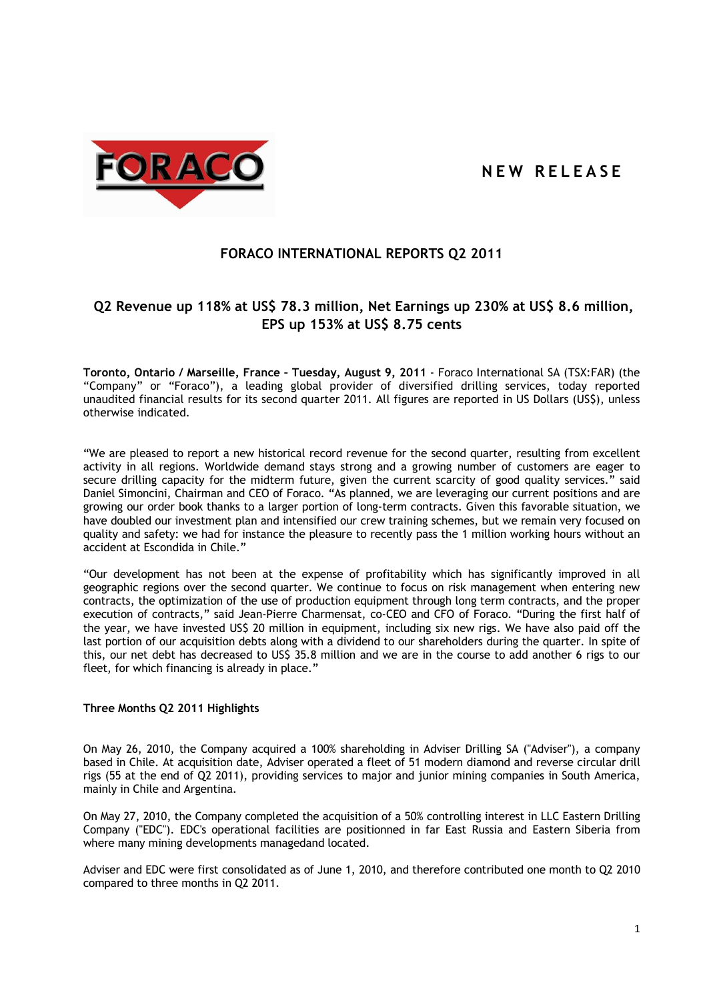# **N E W R E L E A S E**



# **FORACO INTERNATIONAL REPORTS Q2 2011**

# **Q2 Revenue up 118% at US\$ 78.3 million, Net Earnings up 230% at US\$ 8.6 million, EPS up 153% at US\$ 8.75 cents**

**Toronto, Ontario / Marseille, France – Tuesday, August 9, 2011** - Foraco International SA (TSX:FAR) (the "Company" or "Foraco"), a leading global provider of diversified drilling services, today reported unaudited financial results for its second quarter 2011. All figures are reported in US Dollars (US\$), unless otherwise indicated.

"We are pleased to report a new historical record revenue for the second quarter, resulting from excellent activity in all regions. Worldwide demand stays strong and a growing number of customers are eager to secure drilling capacity for the midterm future, given the current scarcity of good quality services." said Daniel Simoncini, Chairman and CEO of Foraco. "As planned, we are leveraging our current positions and are growing our order book thanks to a larger portion of long-term contracts. Given this favorable situation, we have doubled our investment plan and intensified our crew training schemes, but we remain very focused on quality and safety: we had for instance the pleasure to recently pass the 1 million working hours without an accident at Escondida in Chile."

"Our development has not been at the expense of profitability which has significantly improved in all geographic regions over the second quarter. We continue to focus on risk management when entering new contracts, the optimization of the use of production equipment through long term contracts, and the proper execution of contracts," said Jean-Pierre Charmensat, co-CEO and CFO of Foraco. "During the first half of the year, we have invested US\$ 20 million in equipment, including six new rigs. We have also paid off the last portion of our acquisition debts along with a dividend to our shareholders during the quarter. In spite of this, our net debt has decreased to US\$ 35.8 million and we are in the course to add another 6 rigs to our fleet, for which financing is already in place."

### **Three Months Q2 2011 Highlights**

On May 26, 2010, the Company acquired a 100% shareholding in Adviser Drilling SA ("Adviser"), a company based in Chile. At acquisition date, Adviser operated a fleet of 51 modern diamond and reverse circular drill rigs (55 at the end of Q2 2011), providing services to major and junior mining companies in South America, mainly in Chile and Argentina.

On May 27, 2010, the Company completed the acquisition of a 50% controlling interest in LLC Eastern Drilling Company ("EDC"). EDC's operational facilities are positionned in far East Russia and Eastern Siberia from where many mining developments managedand located.

Adviser and EDC were first consolidated as of June 1, 2010, and therefore contributed one month to Q2 2010 compared to three months in Q2 2011.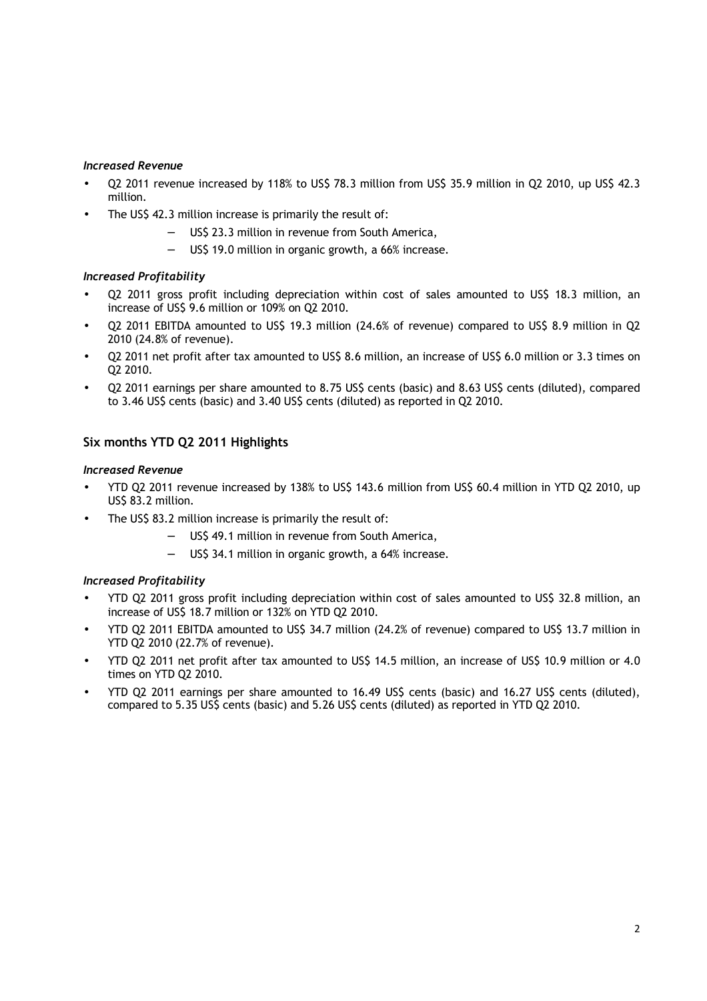## *Increased Revenue*

- Q2 2011 revenue increased by 118% to US\$ 78.3 million from US\$ 35.9 million in Q2 2010, up US\$ 42.3 million.
- The US\$ 42.3 million increase is primarily the result of:
	- US\$ 23.3 million in revenue from South America,
	- − US\$ 19.0 million in organic growth, a 66% increase.

# *Increased Profitability*

- Q2 2011 gross profit including depreciation within cost of sales amounted to US\$ 18.3 million, an increase of US\$ 9.6 million or 109% on Q2 2010.
- Q2 2011 EBITDA amounted to US\$ 19.3 million (24.6% of revenue) compared to US\$ 8.9 million in Q2 2010 (24.8% of revenue).
- Q2 2011 net profit after tax amounted to US\$ 8.6 million, an increase of US\$ 6.0 million or 3.3 times on Q2 2010.
- Q2 2011 earnings per share amounted to 8.75 US\$ cents (basic) and 8.63 US\$ cents (diluted), compared to 3.46 US\$ cents (basic) and 3.40 US\$ cents (diluted) as reported in Q2 2010.

# **Six months YTD Q2 2011 Highlights**

## *Increased Revenue*

- YTD Q2 2011 revenue increased by 138% to US\$ 143.6 million from US\$ 60.4 million in YTD Q2 2010, up US\$ 83.2 million.
- The US\$ 83.2 million increase is primarily the result of:
	- − US\$ 49.1 million in revenue from South America,
	- US\$ 34.1 million in organic growth, a 64% increase.

# *Increased Profitability*

- YTD Q2 2011 gross profit including depreciation within cost of sales amounted to US\$ 32.8 million, an increase of US\$ 18.7 million or 132% on YTD Q2 2010.
- YTD Q2 2011 EBITDA amounted to US\$ 34.7 million (24.2% of revenue) compared to US\$ 13.7 million in YTD Q2 2010 (22.7% of revenue).
- YTD Q2 2011 net profit after tax amounted to US\$ 14.5 million, an increase of US\$ 10.9 million or 4.0 times on YTD Q2 2010.
- YTD Q2 2011 earnings per share amounted to 16.49 US\$ cents (basic) and 16.27 US\$ cents (diluted), compared to 5.35 US\$ cents (basic) and 5.26 US\$ cents (diluted) as reported in YTD Q2 2010.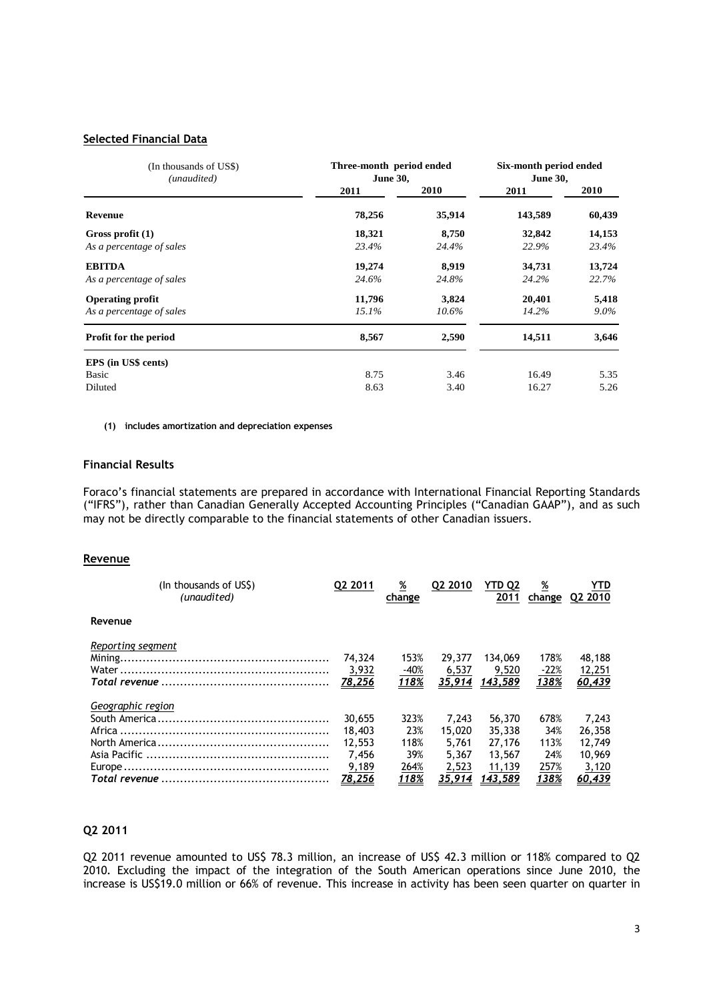### **Selected Financial Data**

| (In thousands of US\$)<br>(unaudited) | Three-month period ended<br><b>June 30,</b> | Six-month period ended<br><b>June 30,</b> |         |             |
|---------------------------------------|---------------------------------------------|-------------------------------------------|---------|-------------|
|                                       | 2011                                        | <b>2010</b>                               | 2011    | <b>2010</b> |
| <b>Revenue</b>                        | 78,256                                      | 35,914                                    | 143,589 | 60,439      |
| Gross profit (1)                      | 18,321                                      | 8,750                                     | 32,842  | 14,153      |
| As a percentage of sales              | 23.4%                                       | 24.4%                                     | 22.9%   | 23.4%       |
| <b>EBITDA</b>                         | 19,274                                      | 8,919                                     | 34,731  | 13,724      |
| As a percentage of sales              | 24.6%                                       | 24.8%                                     | 24.2%   | 22.7%       |
| <b>Operating profit</b>               | 11,796                                      | 3,824                                     | 20,401  | 5,418       |
| As a percentage of sales              | 15.1%                                       | $10.6\%$                                  | 14.2%   | $9.0\%$     |
| Profit for the period                 | 8,567                                       | 2,590                                     | 14,511  | 3,646       |
| EPS (in US\$ cents)                   |                                             |                                           |         |             |
| Basic                                 | 8.75                                        | 3.46                                      | 16.49   | 5.35        |
| Diluted                               | 8.63                                        | 3.40                                      | 16.27   | 5.26        |

**(1) includes amortization and depreciation expenses** 

## **Financial Results**

Foraco's financial statements are prepared in accordance with International Financial Reporting Standards ("IFRS"), rather than Canadian Generally Accepted Accounting Principles ("Canadian GAAP"), and as such may not be directly comparable to the financial statements of other Canadian issuers.

#### **Revenue**

| (In thousands of USS)<br>(unaudited) | Q2 2011 | <u>%</u><br>change | Q2 2010 | <b>YTD Q2</b><br>2011 | <u>%</u>     | YTD<br>change Q2 2010 |
|--------------------------------------|---------|--------------------|---------|-----------------------|--------------|-----------------------|
| Revenue                              |         |                    |         |                       |              |                       |
| Reporting segment                    |         |                    |         |                       |              |                       |
|                                      | 74,324  | 153%               | 29,377  | 134,069               | 178%         | 48,188                |
|                                      | 3,932   | -40%               | 6,537   | 9,520                 | $-22%$       | 12,251                |
|                                      | 78,256  | 118%               | 35.914  | 143,589               | 138%         | 60,439                |
| Geographic region                    |         |                    |         |                       |              |                       |
|                                      | 30,655  | 323%               | 7.243   | 56,370                | 678%         | 7,243                 |
|                                      | 18,403  | 23%                | 15.020  | 35,338                | 34%          | 26,358                |
|                                      | 12,553  | 118%               | 5.761   | 27,176                | 113%         | 12,749                |
|                                      | 7.456   | 39%                | 5.367   | 13,567                | 24%          | 10,969                |
|                                      | 9,189   | 264%               | 2,523   | 11,139                | 257%         | 3,120                 |
|                                      | 78,256  | 118%               | 35.914  | 143,589               | <u> 138%</u> | 60,439                |

## **Q2 2011**

Q2 2011 revenue amounted to US\$ 78.3 million, an increase of US\$ 42.3 million or 118% compared to Q2 2010. Excluding the impact of the integration of the South American operations since June 2010, the increase is US\$19.0 million or 66% of revenue. This increase in activity has been seen quarter on quarter in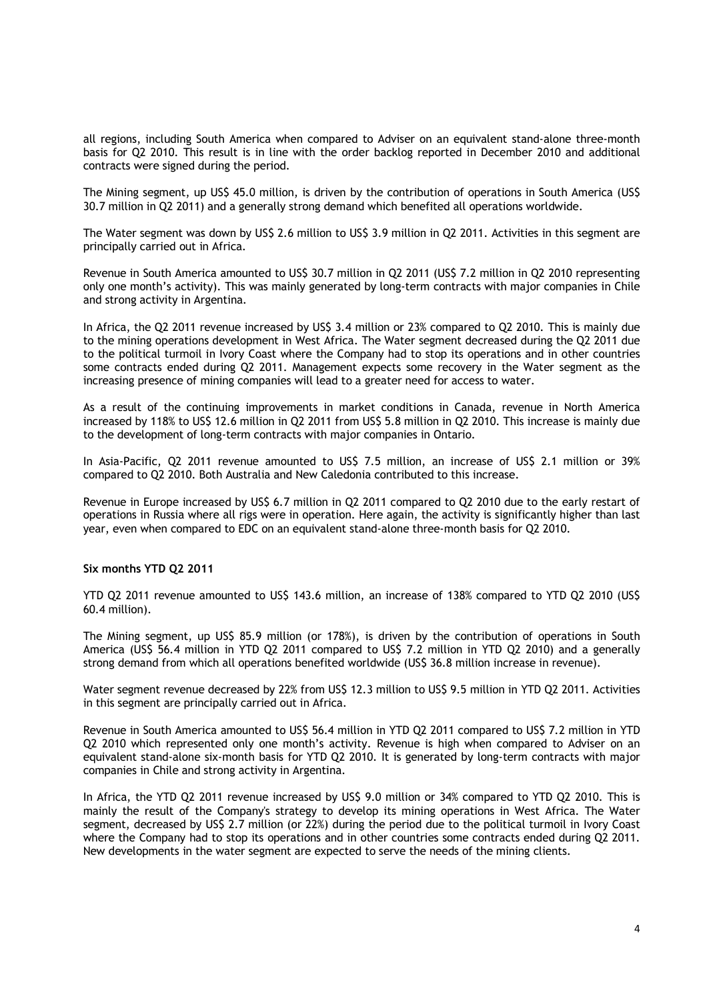all regions, including South America when compared to Adviser on an equivalent stand-alone three-month basis for Q2 2010. This result is in line with the order backlog reported in December 2010 and additional contracts were signed during the period.

The Mining segment, up US\$ 45.0 million, is driven by the contribution of operations in South America (US\$ 30.7 million in Q2 2011) and a generally strong demand which benefited all operations worldwide.

The Water segment was down by US\$ 2.6 million to US\$ 3.9 million in Q2 2011. Activities in this segment are principally carried out in Africa.

Revenue in South America amounted to US\$ 30.7 million in Q2 2011 (US\$ 7.2 million in Q2 2010 representing only one month's activity). This was mainly generated by long-term contracts with major companies in Chile and strong activity in Argentina.

In Africa, the Q2 2011 revenue increased by US\$ 3.4 million or 23% compared to Q2 2010. This is mainly due to the mining operations development in West Africa. The Water segment decreased during the Q2 2011 due to the political turmoil in Ivory Coast where the Company had to stop its operations and in other countries some contracts ended during Q2 2011. Management expects some recovery in the Water segment as the increasing presence of mining companies will lead to a greater need for access to water.

As a result of the continuing improvements in market conditions in Canada, revenue in North America increased by 118% to US\$ 12.6 million in Q2 2011 from US\$ 5.8 million in Q2 2010. This increase is mainly due to the development of long-term contracts with major companies in Ontario.

In Asia-Pacific, Q2 2011 revenue amounted to US\$ 7.5 million, an increase of US\$ 2.1 million or 39% compared to Q2 2010. Both Australia and New Caledonia contributed to this increase.

Revenue in Europe increased by US\$ 6.7 million in Q2 2011 compared to Q2 2010 due to the early restart of operations in Russia where all rigs were in operation. Here again, the activity is significantly higher than last year, even when compared to EDC on an equivalent stand-alone three-month basis for Q2 2010.

### **Six months YTD Q2 2011**

YTD Q2 2011 revenue amounted to US\$ 143.6 million, an increase of 138% compared to YTD Q2 2010 (US\$ 60.4 million).

The Mining segment, up US\$ 85.9 million (or 178%), is driven by the contribution of operations in South America (US\$ 56.4 million in YTD Q2 2011 compared to US\$ 7.2 million in YTD Q2 2010) and a generally strong demand from which all operations benefited worldwide (US\$ 36.8 million increase in revenue).

Water segment revenue decreased by 22% from US\$ 12.3 million to US\$ 9.5 million in YTD Q2 2011. Activities in this segment are principally carried out in Africa.

Revenue in South America amounted to US\$ 56.4 million in YTD Q2 2011 compared to US\$ 7.2 million in YTD Q2 2010 which represented only one month's activity. Revenue is high when compared to Adviser on an equivalent stand-alone six-month basis for YTD Q2 2010. It is generated by long-term contracts with major companies in Chile and strong activity in Argentina.

In Africa, the YTD Q2 2011 revenue increased by US\$ 9.0 million or 34% compared to YTD Q2 2010. This is mainly the result of the Company's strategy to develop its mining operations in West Africa. The Water segment, decreased by US\$ 2.7 million (or 22%) during the period due to the political turmoil in Ivory Coast where the Company had to stop its operations and in other countries some contracts ended during Q2 2011. New developments in the water segment are expected to serve the needs of the mining clients.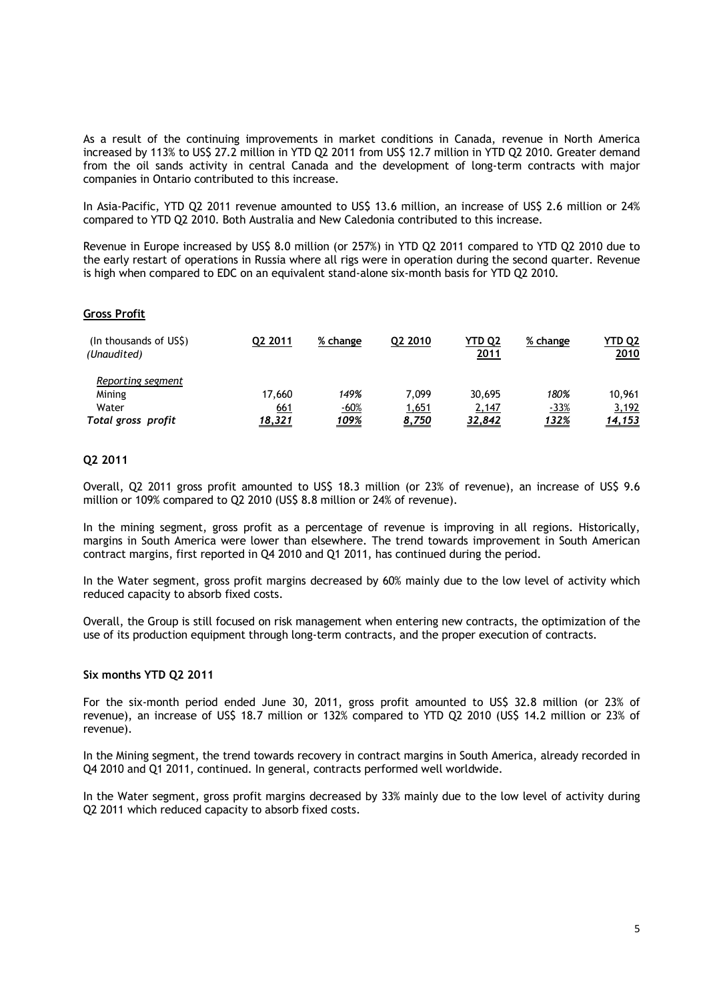As a result of the continuing improvements in market conditions in Canada, revenue in North America increased by 113% to US\$ 27.2 million in YTD Q2 2011 from US\$ 12.7 million in YTD Q2 2010. Greater demand from the oil sands activity in central Canada and the development of long-term contracts with major companies in Ontario contributed to this increase.

In Asia-Pacific, YTD Q2 2011 revenue amounted to US\$ 13.6 million, an increase of US\$ 2.6 million or 24% compared to YTD Q2 2010. Both Australia and New Caledonia contributed to this increase.

Revenue in Europe increased by US\$ 8.0 million (or 257%) in YTD Q2 2011 compared to YTD Q2 2010 due to the early restart of operations in Russia where all rigs were in operation during the second quarter. Revenue is high when compared to EDC on an equivalent stand-alone six-month basis for YTD Q2 2010.

### **Gross Profit**

| (In thousands of US\$)<br>(Unaudited)                      | Q2 2011                        | % change                            | Q2 2010                        | <b>YTD Q2</b><br><u>2011</u> | % change                       | YTD Q2<br><u> 2010</u>           |
|------------------------------------------------------------|--------------------------------|-------------------------------------|--------------------------------|------------------------------|--------------------------------|----------------------------------|
| Reporting segment<br>Mining<br>Water<br>Total gross profit | 17,660<br>661<br><u>18,321</u> | 149%<br><u>-60%</u><br><u> 109%</u> | 7.099<br><u>1,651</u><br>8,750 | 30,695<br>2,147<br>32,842    | 180%<br>$-33%$<br><u> 132%</u> | 10,961<br>3,192<br><u>14,153</u> |

## **Q2 2011**

Overall, Q2 2011 gross profit amounted to US\$ 18.3 million (or 23% of revenue), an increase of US\$ 9.6 million or 109% compared to Q2 2010 (US\$ 8.8 million or 24% of revenue).

In the mining segment, gross profit as a percentage of revenue is improving in all regions. Historically, margins in South America were lower than elsewhere. The trend towards improvement in South American contract margins, first reported in Q4 2010 and Q1 2011, has continued during the period.

In the Water segment, gross profit margins decreased by 60% mainly due to the low level of activity which reduced capacity to absorb fixed costs.

Overall, the Group is still focused on risk management when entering new contracts, the optimization of the use of its production equipment through long-term contracts, and the proper execution of contracts.

### **Six months YTD Q2 2011**

For the six-month period ended June 30, 2011, gross profit amounted to US\$ 32.8 million (or 23% of revenue), an increase of US\$ 18.7 million or 132% compared to YTD Q2 2010 (US\$ 14.2 million or 23% of revenue).

In the Mining segment, the trend towards recovery in contract margins in South America, already recorded in Q4 2010 and Q1 2011, continued. In general, contracts performed well worldwide.

In the Water segment, gross profit margins decreased by 33% mainly due to the low level of activity during Q2 2011 which reduced capacity to absorb fixed costs.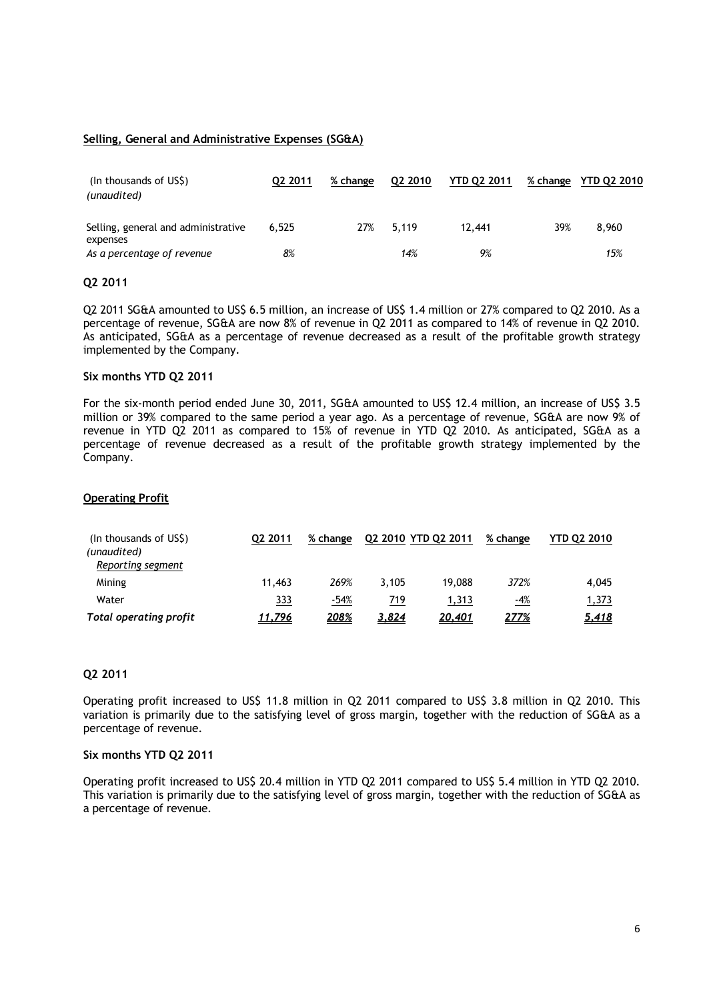## **Selling, General and Administrative Expenses (SG&A)**

| (In thousands of USS)<br>(unaudited)            | Q2 2011 | % change | Q2 2010 | <b>YTD Q2 2011</b> | % change | YTD Q2 2010 |
|-------------------------------------------------|---------|----------|---------|--------------------|----------|-------------|
| Selling, general and administrative<br>expenses | 6.525   | 27%      | 5.119   | 12.441             | 39%      | 8,960       |
| As a percentage of revenue                      | 8%      |          | 14%     | 9%                 |          | 15%         |

## **Q2 2011**

Q2 2011 SG&A amounted to US\$ 6.5 million, an increase of US\$ 1.4 million or 27% compared to Q2 2010. As a percentage of revenue, SG&A are now 8% of revenue in Q2 2011 as compared to 14% of revenue in Q2 2010. As anticipated, SG&A as a percentage of revenue decreased as a result of the profitable growth strategy implemented by the Company.

#### **Six months YTD Q2 2011**

For the six-month period ended June 30, 2011, SG&A amounted to US\$ 12.4 million, an increase of US\$ 3.5 million or 39% compared to the same period a year ago. As a percentage of revenue, SG&A are now 9% of revenue in YTD Q2 2011 as compared to 15% of revenue in YTD Q2 2010. As anticipated, SG&A as a percentage of revenue decreased as a result of the profitable growth strategy implemented by the Company.

### **Operating Profit**

| (In thousands of US\$)<br>(unaudited)<br>Reporting segment | Q2 2011    | % change | Q2 2010 YTD Q2 2011 |        | % change   | <b>YTD 02 2010</b> |
|------------------------------------------------------------|------------|----------|---------------------|--------|------------|--------------------|
| Mining                                                     | 11.463     | 269%     | 3.105               | 19.088 | 372%       | 4.045              |
| Water                                                      | <u>333</u> | $-54%$   | 719                 | 1,313  | <u>-4%</u> | 1,373              |
| <b>Total operating profit</b>                              | 11,796     | 208%     | 3,824               | 20,401 | 277%       | <u>5,418</u>       |

### **Q2 2011**

Operating profit increased to US\$ 11.8 million in Q2 2011 compared to US\$ 3.8 million in Q2 2010. This variation is primarily due to the satisfying level of gross margin, together with the reduction of SG&A as a percentage of revenue.

#### **Six months YTD Q2 2011**

Operating profit increased to US\$ 20.4 million in YTD Q2 2011 compared to US\$ 5.4 million in YTD Q2 2010. This variation is primarily due to the satisfying level of gross margin, together with the reduction of SG&A as a percentage of revenue.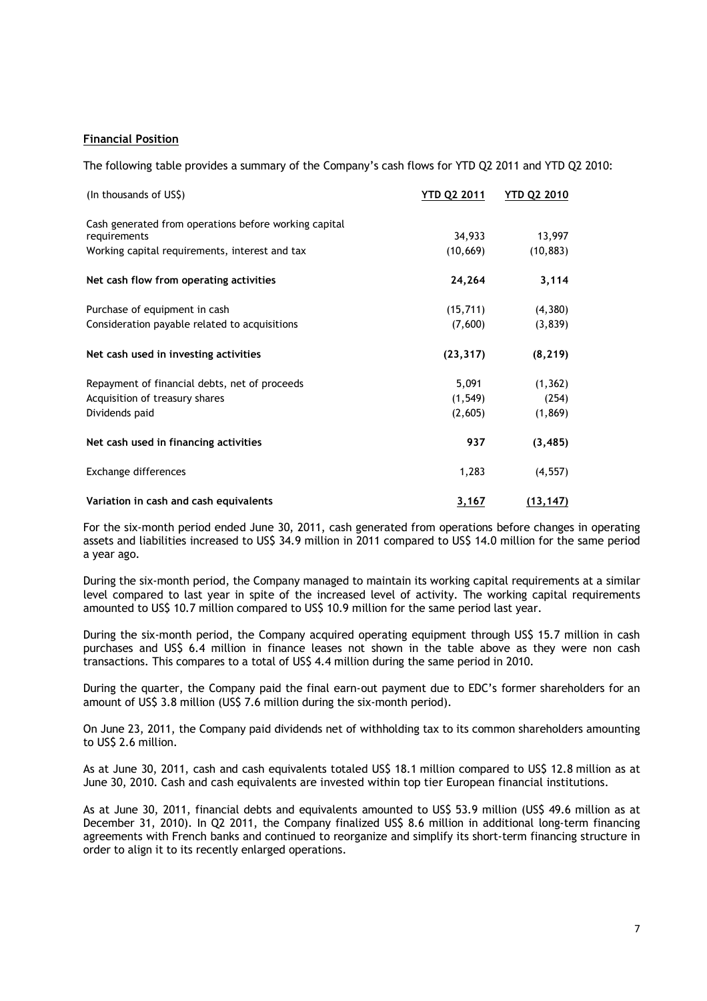## **Financial Position**

The following table provides a summary of the Company's cash flows for YTD Q2 2011 and YTD Q2 2010:

| (In thousands of US\$)                                | YTD Q2 2011  | <b>YTD Q2 2010</b> |
|-------------------------------------------------------|--------------|--------------------|
| Cash generated from operations before working capital |              |                    |
| requirements                                          | 34,933       | 13,997             |
| Working capital requirements, interest and tax        | (10, 669)    | (10, 883)          |
| Net cash flow from operating activities               | 24,264       | 3,114              |
| Purchase of equipment in cash                         | (15, 711)    | (4,380)            |
| Consideration payable related to acquisitions         | (7,600)      | (3,839)            |
| Net cash used in investing activities                 | (23, 317)    | (8, 219)           |
| Repayment of financial debts, net of proceeds         | 5,091        | (1, 362)           |
| Acquisition of treasury shares                        | (1, 549)     | (254)              |
| Dividends paid                                        | (2,605)      | (1, 869)           |
| Net cash used in financing activities                 | 937          | (3, 485)           |
| Exchange differences                                  | 1,283        | (4, 557)           |
| Variation in cash and cash equivalents                | <u>3,167</u> | (13, 147)          |

For the six-month period ended June 30, 2011, cash generated from operations before changes in operating assets and liabilities increased to US\$ 34.9 million in 2011 compared to US\$ 14.0 million for the same period a year ago.

During the six-month period, the Company managed to maintain its working capital requirements at a similar level compared to last year in spite of the increased level of activity. The working capital requirements amounted to US\$ 10.7 million compared to US\$ 10.9 million for the same period last year.

During the six-month period, the Company acquired operating equipment through US\$ 15.7 million in cash purchases and US\$ 6.4 million in finance leases not shown in the table above as they were non cash transactions. This compares to a total of US\$ 4.4 million during the same period in 2010.

During the quarter, the Company paid the final earn-out payment due to EDC's former shareholders for an amount of US\$ 3.8 million (US\$ 7.6 million during the six-month period).

On June 23, 2011, the Company paid dividends net of withholding tax to its common shareholders amounting to US\$ 2.6 million.

As at June 30, 2011, cash and cash equivalents totaled US\$ 18.1 million compared to US\$ 12.8 million as at June 30, 2010. Cash and cash equivalents are invested within top tier European financial institutions.

As at June 30, 2011, financial debts and equivalents amounted to US\$ 53.9 million (US\$ 49.6 million as at December 31, 2010). In Q2 2011, the Company finalized US\$ 8.6 million in additional long-term financing agreements with French banks and continued to reorganize and simplify its short-term financing structure in order to align it to its recently enlarged operations.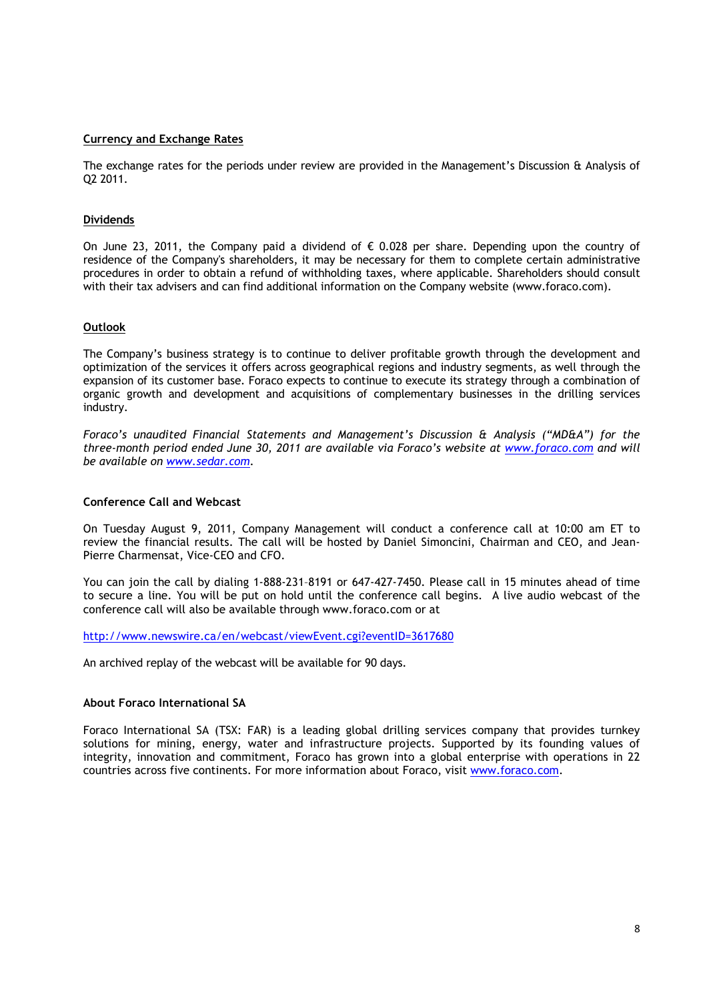#### **Currency and Exchange Rates**

The exchange rates for the periods under review are provided in the Management's Discussion & Analysis of Q2 2011.

#### **Dividends**

On June 23, 2011, the Company paid a dividend of  $\epsilon$  0.028 per share. Depending upon the country of residence of the Company's shareholders, it may be necessary for them to complete certain administrative procedures in order to obtain a refund of withholding taxes, where applicable. Shareholders should consult with their tax advisers and can find additional information on the Company website (www.foraco.com).

#### **Outlook**

The Company's business strategy is to continue to deliver profitable growth through the development and optimization of the services it offers across geographical regions and industry segments, as well through the expansion of its customer base. Foraco expects to continue to execute its strategy through a combination of organic growth and development and acquisitions of complementary businesses in the drilling services industry.

*Foraco's unaudited Financial Statements and Management's Discussion & Analysis ("MD&A") for the three-month period ended June 30, 2011 are available via Foraco's website at www.foraco.com and will be available on www.sedar.com.* 

### **Conference Call and Webcast**

On Tuesday August 9, 2011, Company Management will conduct a conference call at 10:00 am ET to review the financial results. The call will be hosted by Daniel Simoncini, Chairman and CEO, and Jean-Pierre Charmensat, Vice-CEO and CFO.

You can join the call by dialing 1-888-231–8191 or 647-427-7450. Please call in 15 minutes ahead of time to secure a line. You will be put on hold until the conference call begins. A live audio webcast of the conference call will also be available through www.foraco.com or at

http://www.newswire.ca/en/webcast/viewEvent.cgi?eventID=3617680

An archived replay of the webcast will be available for 90 days.

#### **About Foraco International SA**

Foraco International SA (TSX: FAR) is a leading global drilling services company that provides turnkey solutions for mining, energy, water and infrastructure projects. Supported by its founding values of integrity, innovation and commitment, Foraco has grown into a global enterprise with operations in 22 countries across five continents. For more information about Foraco, visit www.foraco.com.